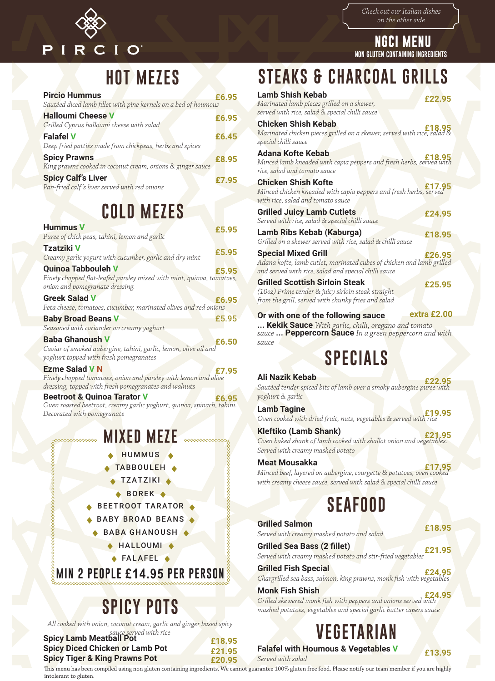

*Check out our Italian dishes on the other side*

**NGCI MENU NON GLUTEN CONTAINING INGREDIENTS**

### **STEAKS & CHARCOAL GRILLS**

| <b>Lamb Shish Kebab</b><br>Marinated lamb pieces grilled on a skewer,<br>served with rice, salad & special chilli sauce                                     | £22.95      |
|-------------------------------------------------------------------------------------------------------------------------------------------------------------|-------------|
| <b>Chicken Shish Kebab</b><br>18.95<br>Marinated chicken pieces grilled on a skewer, se <mark>rve</mark> d with rice, salad &<br>special chilli sauce       |             |
| <b>Adana Kofte Kebab</b><br>Minced lamb kneaded with capia peppers and fresh herbs, served with<br>rice, salad and tomato sauce                             |             |
| <b>Chicken Shish Kofte</b><br>Minced chicken kneaded with capia peppers and fresh herbs, served<br>with rice, salad and tomato sauce                        | £17.95      |
| <b>Grilled Juicy Lamb Cutlets</b><br>Served with rice, salad & special chilli sauce                                                                         | £24.95      |
| Lamb Ribs Kebab (Kaburga)<br>Grilled on a skewer served with rice, salad & chilli sauce                                                                     | £18.95      |
| <b>Special Mixed Grill</b><br>Adana kofte, lamb cutlet, marinated cubes of chicken and lamb grilled<br>and served with rice, salad and special chilli sauce | £26.95      |
| <b>Grilled Scottish Sirloin Steak</b><br>(10oz) Prime tender & juicy sirloin steak straight<br>from the grill, served with chunky fries and salad           | £25.95      |
|                                                                                                                                                             | extra £2.00 |
| Or with one of the following sauce                                                                                                                          |             |
| Kekik Sauce With garlic, chilli, oregano and tomato                                                                                                         |             |
| sauce  Peppercorn Sauce In a green peppercorn and with<br>sauce                                                                                             |             |
|                                                                                                                                                             |             |

# **SPECIALS**

**Ali Nazik Kebab** £**22.95** *Sautéed tender spiced bits of lamb over a smoky aubergine puree with yoghurt & garlic* **Lamb Tagine** £**19.95** *Oven cooked with dried fruit, nuts, vegetables & served with rice* **Kleftiko (Lamb Shank)** £**21.95** *Oven baked shank of lamb cooked with shallot onion and vegetables. Served with creamy mashed potato* **Meat Mousakka** £**17.95** *Minced beef, layered on aubergine, courgette & potatoes, oven cooked* 

# **SEAFOOD**

*with creamy cheese sauce, served with salad & special chilli sauce*

| <b>Grilled Salmon</b><br>Served with creamy mashed potato and salad                                                  | £18.95 |
|----------------------------------------------------------------------------------------------------------------------|--------|
| <b>Grilled Sea Bass (2 fillet)</b><br>Served with creamy mashed potato and stir-fried vegetables                     | £21.95 |
| <b>Grilled Fish Special</b><br><b>E24.95</b><br>Chargrilled sea bass, salmon, king prawns, monk fish with vegetables |        |
| <b>Monk Fish Shish</b><br><b>E24.95</b><br>Grilled skewered monk fish with peppers and onions served with            |        |
| mashed potatoes, vegetables and special garlic butter capers sauce                                                   |        |

**VEGETARIAN**

**Falafel with Houmous & Vegetables <sup>V</sup>** £**13.95**

## **HOT MEZES**

| <b>Pircio Hummus</b>                                                              | £6.95 |
|-----------------------------------------------------------------------------------|-------|
| Sautéed diced lamb fillet with pine kernels on a bed of houmous                   |       |
| <b>Halloumi Cheese V</b><br>Grilled Cyprus halloumi cheese with salad             | £6.95 |
| <b>Falafel V</b><br>Deep fried patties made from chickpeas, herbs and spices      | £6.45 |
| <b>Spicy Prawns</b><br>King prawns cooked in coconut cream, onions & ginger sauce | £8.95 |
| <b>Spicy Calf's Liver</b><br>Pan-fried calf's liver served with red onions        | £7.95 |

### **COLD MEZES**

| <b>Hummus V</b>                                                                                          | £5.95 |
|----------------------------------------------------------------------------------------------------------|-------|
| Puree of chick peas, tahini, lemon and garlic                                                            |       |
| <b>Tzatziki V</b><br>Creamy garlic yogurt with cucumber, garlic and dry mint                             | £5.95 |
| <b>Quinoa Tabbouleh V</b>                                                                                | £5.95 |
| Finely chopped flat-leafed parsley mixed with mint, quinoa, tomatoes,<br>onion and pomegranate dressing. |       |
| <b>Greek Salad V</b>                                                                                     | £6.95 |
| Feta cheese, tomatoes, cucumber, marinated olives and red onions                                         |       |
| <b>Baby Broad Beans V</b>                                                                                | £5.95 |
| Seasoned with coriander on creamy yoghurt                                                                |       |
| <b>Baba Ghanoush V</b>                                                                                   | £6.50 |
| Caviar of smoked aubergine, tahini, garlic, lemon, olive oil and                                         |       |
| yoghurt topped with fresh pomegranates                                                                   |       |
| <b>Ezme Salad V N</b>                                                                                    |       |

*Finely chopped tomatoes, onion and parsley with lemon and olive dressing, topped with fresh pomegranates and walnuts*

**Beetroot & Quinoa Tarator V E6.95** *Oven roasted beetroot, creamy garlic yoghurt, quinoa, spinach, tahini. Decorated with pomegranate*

### **MIXED MEZE**

- HUMMUS<sup>4</sup>
- TABBOULEH .
- **TZATZIKI**
- $\triangle$  BOREK  $\triangle$
- BEETROOT TARATOR
- BABY BROAD BEANS
- **BABA GHANOUSH** 
	- ◆ HALLOUMI ◆
	- $\triangle$ FALAFEL

**MIN 2 PEOPLE £14.95 PER PERSON**

# **SPICY POTS**

*All cooked with onion, coconut cream, garlic and ginger based spicy* 

| <b>Spicy Lamb Meatball Pot</b>         | £18.95 |
|----------------------------------------|--------|
| <b>Spicy Diced Chicken or Lamb Pot</b> | £21.95 |
| Snicy Tiger & King Prawns Pot          | COO OF |

This menu has been compiled using non gluten containing ingredients. We cannot guarantee 100% gluten free food. Please notify our team member if you are highly intolerant to gluten.

**Spicy Tiger & King Prawns Pot £20.95**

*Served with salad*